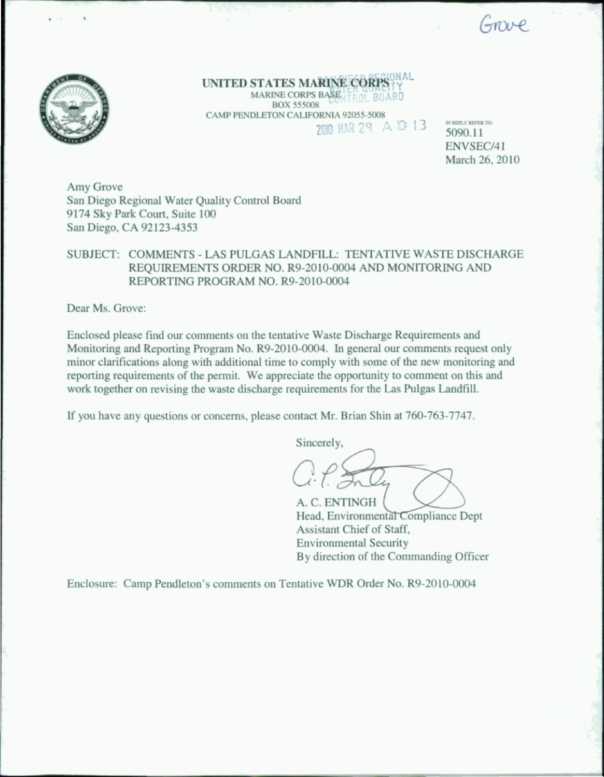Grave



UNITED STATES MARINE CORPS IN AL MARINE CORPS BASE TROL BOARD BOX 555008 CAMP PENDLETON CALIFORNIA 92055-5008<br>
2010 MAR 29 A 10:13

IN REPLY REFER TO: 5090.11 ENVSEC/41 March 26, 2010

Amy Grove San Diego Regional Water Quality Control Board 9174 Sky Park Court. Suite 100 San Diego, CA 92123-4353

## SUBJECT: COMMENTS - LAS PULGAS LANDFILL: TENTATIVE WASTE DISCHARGE REQUIREMENTS ORDER NO. R9-2010-0004 AND MONITORING AND REPORTING PROGRAM NO. R9-2010-0004

Dear Ms. Grove:

Enclosed please find our comments on the tentative Waste Discharge Requirements and Monitoring and Reporting Program No. R9-2010-0004. In general our commenis request only minor clarifications along with additional time to comply with some of the new monitoring and reporting requirements of the permit. We appreciate the opportunity to commeni on this and work together on revising the waste discharge requirements for the Las Pulgas Landfill.

If you have any questions or concerns, please contact Mr. Brian Shin at 760-763-7747.

Sincerely, A. C. ENTINGH

Head, Environmental Compliance Dept Assistant Chief of Staff, Environmental Security By direction of the Commanding Officer

Enclosure: Camp Pendleton's comments on Tentative WDR Order No. R9-2010-0004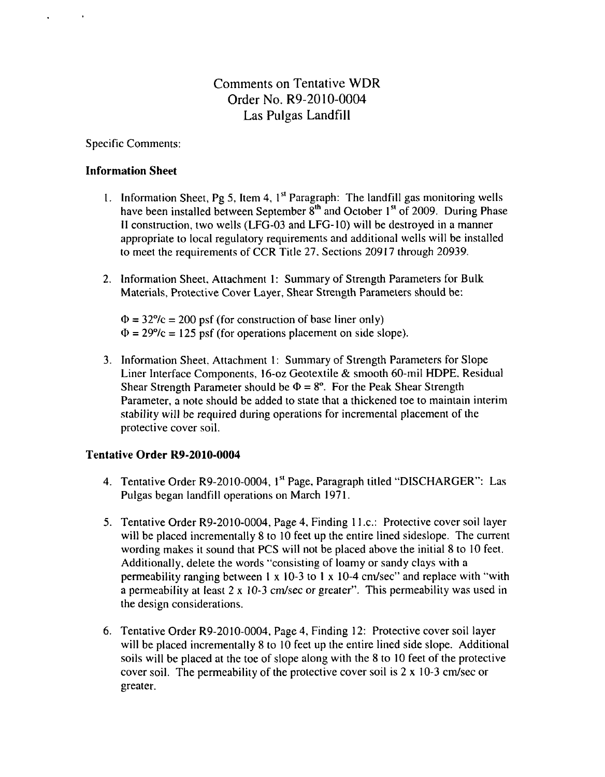# Comments on Tentative WDR Order No. R9-2010-0004 Las Pulgas Landfill

Specific Comments:

 $\mathbf{r}$ 

### Information Sheet

- 1. Information Sheet, Pg 5, Item 4,  $1<sup>st</sup>$  Paragraph: The landfill gas monitoring wells have been installed between September 8<sup>th</sup> and October 1<sup>st</sup> of 2009. During Phase II construction, two wells (LFG-03 and LFG-I0) will be destroyed in a manner appropriate to local regulatory requirements and additional wells will be installed to meet the requirements of CCR Title 27. Sections 20917 through 20939.
- 2. Information Sheet, Attachment 1: Summary of Strength Parameters for Bulk Materials, Protective Cover Layer, Shear Strength Parameters should be:

 $\Phi = 32\degree/c = 200$  psf (for construction of base liner only)  $\Phi = 29\%c = 125$  psf (for operations placement on side slope).

3. Information Sheet, Attachment 1: Summary of Strength Parameters for Slope Liner Interface Components, 16-oz Geotextile & smooth 60-miI HDPE. Residual Shear Strength Parameter should be  $\Phi = 8^\circ$ . For the Peak Shear Strength Parameter, a note should be added to state that a thickened toe to maintain interim stability will be required during operations for incremental placement of the protective cover soil.

## Tentative Order R9-2010-0004

- 4. Tentative Order R9-2010-0004, 1<sup>st</sup> Page, Paragraph titled "DISCHARGER": Las Pulgas began landfill operations on March 1971.
- 5. Tentative Order R9-2010-0004. Page 4, Finding 11 .c: Protective cover soil layer will be placed incrementally 8 to 10 feet up the entire lined sideslope. The current wording makes it sound that PCS will not be placed above the initial 8 to 10 feel. Additionally, delete the words "consisting of loamy or sandy clays with a permeability ranging between 1 x 10-3 to 1 x 10-4 cm/sec" and replace with "with a permeability at least 2 x 10-3 cm/sec or greater". This permeability was used in the design considerations.
- 6. Tentative Order R9-2010-0004, Page 4, Finding 12: Protective cover soil layer will be placed incrementally 8 to 10 feet up the entire lined side slope. Additional soils will be placed at the toe of slope along with the 8 to 10 feet of the protective cover soil. The permeability of the protective cover soil is 2 x 10-3 cm/sec or greater.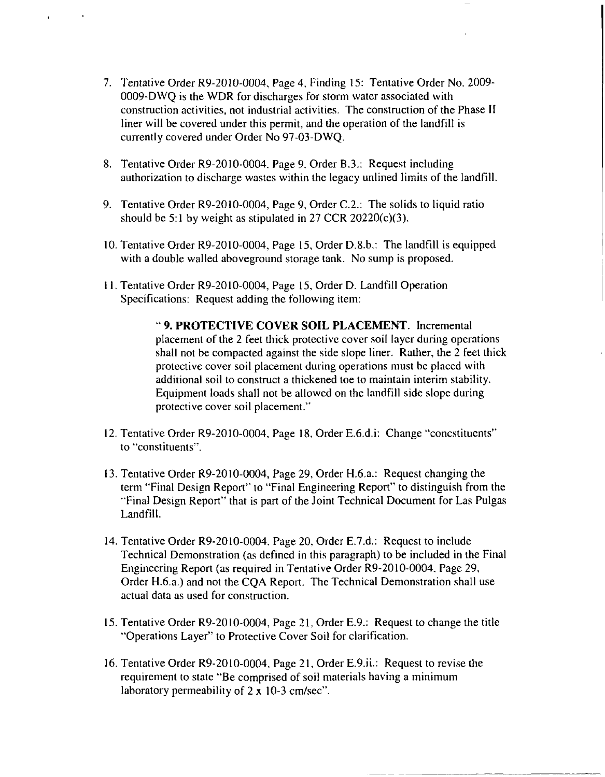- 7. Tentative Order R9-20IO-0004, Page 4, Finding 15: Tentative Order No. 2009- 0009-DWQ is the WDR for discharges for storm water associated with construction activities, not industrial activities. The construction of the Phase II liner will be covered under this permit, and the operation of the landfill is currently covered under Order No 97-03-DWQ.
- 8. Tentative Order R9-2010-0004. Page 9. Order B.3.: Request including authorization to discharge wastes within the legacy unlined limits of the landfill.
- 9. Tentative Order R9-2010-0004, Page 9, Order C.2.: The solids to liquid ratio should be 5:1 by weight as stipulated in 27 CCR 20220(c)(3).
- 10. Tentative Order R9-2010-0004, Page 15, Order D.8.b.: The landfill is equipped with a double walled aboveground storage tank. No sump is proposed.
- 11. Tentative Order R9-2010-0004, Page 15, Order D. Landfill Operation Specifications: Request adding the following item:

9, PROTECTIVE COVER SOIL PLACEMENT. Incremental placement of the 2 feet thick protective cover soil layer during operations shall not be compacted against the side slope liner. Rather, the 2 feet thick protective cover soil placement during operations must be placed with additional soil to construct a thickened toe to maintain interim stability. Equipment loads shall not be allowed on the landfill side slope during protective cover soil placement."

- 12. Tentative Order R9-20I0-0004, Page 18, Order E.6.d.i: Change "concstituents" to "constituents".
- 13. Tentative Order R9-20I0-0004, Page 29, Order H.6.a.: Request changing the term "Final Design Report" to "Final Engineering Report" to distinguish from the "Final Design Report" that is part of the Joint Technical Document for Las Pulgas Landfill.
- 14. Tentative Order R9-2010-0004, Page 20, Order E.7.d.: Request to include Technical Demonstration (as defined in this paragraph) to be included in the Final Engineering Report (as required in Tentative Order R9-2010-0004. Page 29, Order H.6.a.) and not the CQA Report. The Technical Demonstration shall use actual data as used for construction.
- 15. Tentative Order R9-2010-0004, Page 21, Order E.9.: Request to change the title "Operations Layer" to Protective Cover Soil for clarification.
- 16. Tentative Order R9-2010-0004. Page 21. Order E.9.ii.: Request to revise the requirement to state "Be comprised of soil materials having a minimum laboratory permeability of 2 x 10-3 cm/sec".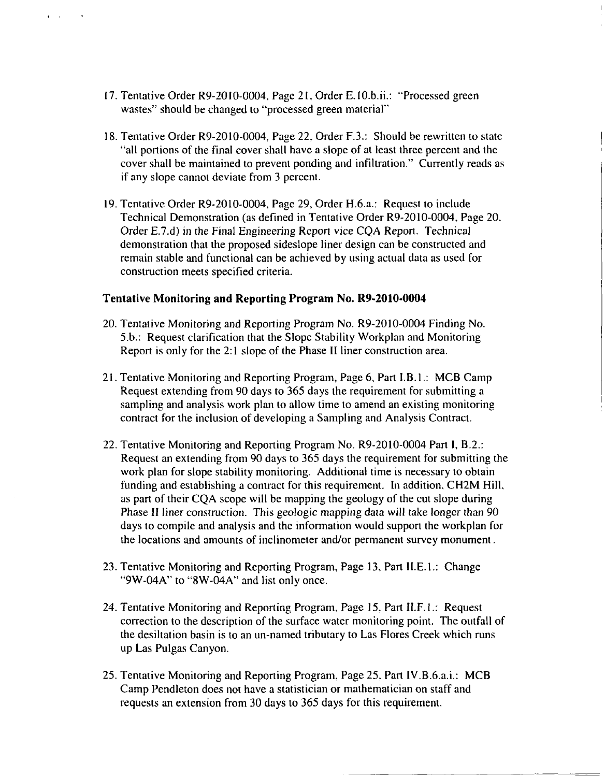17. Tentative Order R9-2010-0004, Page 21, Order E.10.b.ii.: "Processed green wastes" should be changed to "processed green material"

 $\mathbf{r} = \mathbf{r}$ 

- 18. Tentative Order R9-20I0-0004, Page 22, Order F.3.: Should be rewritten to state "all portions of the final cover shall have a slope of at least three percent and the cover shall be maintained to prevent ponding and infiltration." Currently reads as if any slope cannot deviate from 3 percent.
- 19. Tentative Order R9-2010-0004, Page 29, Order H.6.a.: Request to include Technical Demonstration (as defined in Tentative Order R9-2010-0004, Page 20. Order E.7.d) in the Final Engineering Report vice CQA Report. Technical demonstration that the proposed sideslope liner design can be constructed and remain stable and functional can be achieved by using actual data as used for construction meets specified criteria.

#### Tentative Monitoring and Reporting Program No. R9-2010-0004

- 20. Tentative Monitoring and Reporting Program No. R9-2010-0004 Finding No. 5.b.: Request clarification that the Slope Stability Workplan and Monitoring Report is only for the 2:1 slope of the Phase II liner construction area.
- 21. Tentative Monitoring and Reporting Program, Page 6, Part I.B.I.: MCB Camp Request extending from 90 days to 365 days the requirement for submitting a sampling and analysis work plan to allow time to amend an existing monitoring contract for the inclusion of developing a Sampling and Analysis Contract.
- 22. Tentative Monitoring and Reporting Program No. R9-2010-0004 Part I, B.2.: Request an extending from 90 days to 365 days the requirement for submitting the work plan for slope stability monitoring. Additional time is necessary to obtain funding and establishing a contract for this requirement. In addition. CH2M Hill, as part of their CQA scope will be mapping the geology of the cut slope during Phase II liner construction. This geologic mapping data will take longer than 90 days to compile and analysis and the information would support the workplan for the locations and amounts of inclinometer and/or permanent survey monument.
- 23. Tentative Monitoring and Reporting Program, Page 13, Part II.E.l.: Change "9W-04A" to "8W-04A" and list only once.
- 24. Tentative Monitoring and Reporting Program. Page 15, Part II.F.l.: Request correction to the description of the surface water monitoring point. The outfall of the desiltation basin is to an un-named tributary to Las Flores Creek which runs up Las Pulgas Canyon.
- 25. Tentative Monitoring and Reporting Program, Page 25, Part IV.B.6.a.i.: MCB Camp Pendleton does not have a statistician or mathematician on staff and requests an extension from 30 days to 365 days for this requirement.